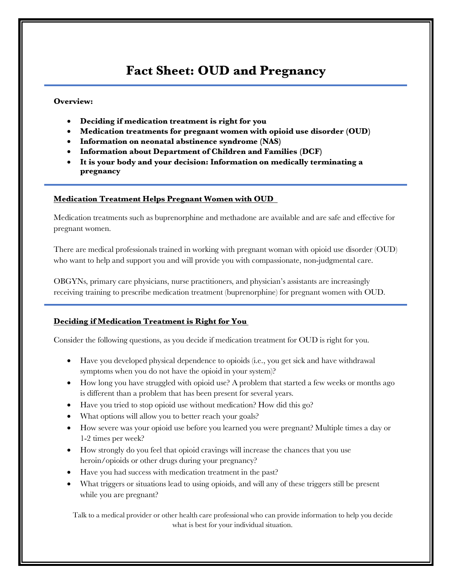# **Fact Sheet: OUD and Pregnancy**

### **Overview:**

- **Deciding if medication treatment is right for you**
- **Medication treatments for pregnant women with opioid use disorder (OUD)**
- **Information on neonatal abstinence syndrome (NAS)**
- **Information about Department of Children and Families (DCF)**
- **It is your body and your decision: Information on medically terminating a pregnancy**

#### **Medication Treatment Helps Pregnant Women with OUD**

Medication treatments such as buprenorphine and methadone are available and are safe and effective for pregnant women.

There are medical professionals trained in working with pregnant woman with opioid use disorder (OUD) who want to help and support you and will provide you with compassionate, non-judgmental care.

OBGYNs, primary care physicians, nurse practitioners, and physician's assistants are increasingly receiving training to prescribe medication treatment (buprenorphine) for pregnant women with OUD.

### **Deciding if Medication Treatment is Right for You**

Consider the following questions, as you decide if medication treatment for OUD is right for you.

- Have you developed physical dependence to opioids (i.e., you get sick and have withdrawal symptoms when you do not have the opioid in your system)?
- How long you have struggled with opioid use? A problem that started a few weeks or months ago is different than a problem that has been present for several years.
- Have you tried to stop opioid use without medication? How did this go?
- What options will allow you to better reach your goals?
- How severe was your opioid use before you learned you were pregnant? Multiple times a day or 1-2 times per week?
- How strongly do you feel that opioid cravings will increase the chances that you use heroin/opioids or other drugs during your pregnancy?
- Have you had success with medication treatment in the past?
- What triggers or situations lead to using opioids, and will any of these triggers still be present while you are pregnant?

Talk to a medical provider or other health care professional who can provide information to help you decide what is best for your individual situation.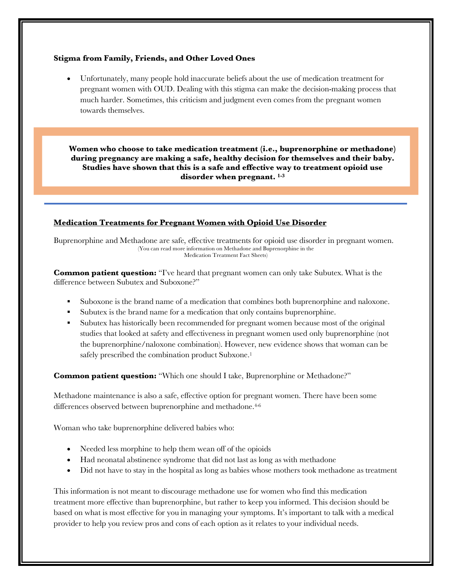#### **Stigma from Family, Friends, and Other Loved Ones**

• Unfortunately, many people hold inaccurate beliefs about the use of medication treatment for pregnant women with OUD. Dealing with this stigma can make the decision-making process that much harder. Sometimes, this criticism and judgment even comes from the pregnant women towards themselves.

**Women who choose to take medication treatment (i.e., buprenorphine or methadone) during pregnancy are making a safe, healthy decision for themselves and their baby. Studies have shown that this is a safe and effective way to treatment opioid use disorder when pregnant. 1-3**

#### **Medication Treatments for Pregnant Women with Opioid Use Disorder**

Buprenorphine and Methadone are safe, effective treatments for opioid use disorder in pregnant women. (You can read more information on Methadone and Buprenorphine in the Medication Treatment Fact Sheets)

**Common patient question:** "I've heard that pregnant women can only take Subutex. What is the difference between Subutex and Suboxone?"

- § Suboxone is the brand name of a medication that combines both buprenorphine and naloxone.
- § Subutex is the brand name for a medication that only contains buprenorphine.
- § Subutex has historically been recommended for pregnant women because most of the original studies that looked at safety and effectiveness in pregnant women used only buprenorphine (not the buprenorphine/naloxone combination). However, new evidence shows that woman can be safely prescribed the combination product Subxone.<sup>1</sup>

**Common patient question:** "Which one should I take, Buprenorphine or Methadone?"

Methadone maintenance is also a safe, effective option for pregnant women. There have been some differences observed between buprenorphine and methadone.<sup>4-6</sup>

Woman who take buprenorphine delivered babies who:

- Needed less morphine to help them wean off of the opioids
- Had neonatal abstinence syndrome that did not last as long as with methadone
- Did not have to stay in the hospital as long as babies whose mothers took methadone as treatment

This information is not meant to discourage methadone use for women who find this medication treatment more effective than buprenorphine, but rather to keep you informed. This decision should be based on what is most effective for you in managing your symptoms. It's important to talk with a medical provider to help you review pros and cons of each option as it relates to your individual needs.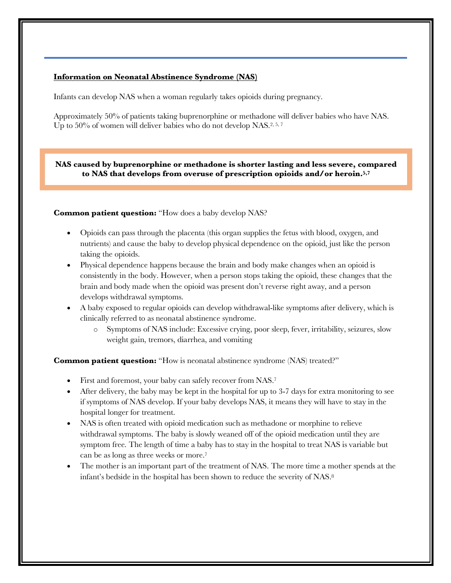#### **Information on Neonatal Abstinence Syndrome (NAS)**

Infants can develop NAS when a woman regularly takes opioids during pregnancy.

Approximately 50% of patients taking buprenorphine or methadone will deliver babies who have NAS. Up to 50% of women will deliver babies who do not develop NAS.<sup>2, 5, 7</sup>

**NAS caused by buprenorphine or methadone is shorter lasting and less severe, compared to NAS that develops from overuse of prescription opioids and/or heroin.5,7**

**Common patient question:** "How does a baby develop NAS?"

- Opioids can pass through the placenta (this organ supplies the fetus with blood, oxygen, and nutrients) and cause the baby to develop physical dependence on the opioid, just like the person taking the opioids.
- Physical dependence happens because the brain and body make changes when an opioid is consistently in the body. However, when a person stops taking the opioid, these changes that the brain and body made when the opioid was present don't reverse right away, and a person develops withdrawal symptoms.
- A baby exposed to regular opioids can develop withdrawal-like symptoms after delivery, which is clinically referred to as neonatal abstinence syndrome.
	- o Symptoms of NAS include: Excessive crying, poor sleep, fever, irritability, seizures, slow weight gain, tremors, diarrhea, and vomiting

**Common patient question:** "How is neonatal abstinence syndrome (NAS) treated?"

- First and foremost, your baby can safely recover from NAS.7
- After delivery, the baby may be kept in the hospital for up to 3-7 days for extra monitoring to see if symptoms of NAS develop. If your baby develops NAS, it means they will have to stay in the hospital longer for treatment.
- NAS is often treated with opioid medication such as methadone or morphine to relieve withdrawal symptoms. The baby is slowly weaned off of the opioid medication until they are symptom free. The length of time a baby has to stay in the hospital to treat NAS is variable but can be as long as three weeks or more.7
- The mother is an important part of the treatment of NAS. The more time a mother spends at the infant's bedside in the hospital has been shown to reduce the severity of NAS.8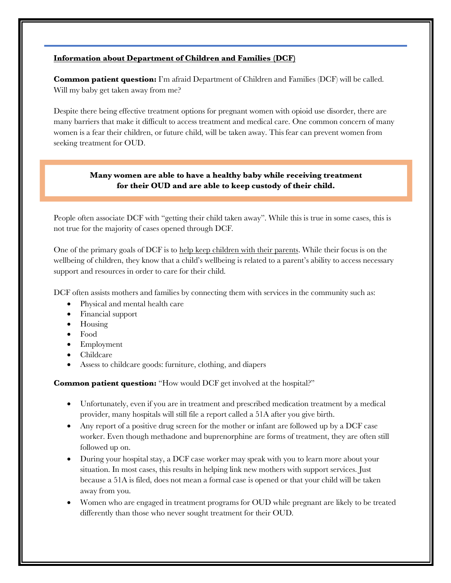#### **Information about Department of Children and Families (DCF)**

**Common patient question:** I'm afraid Department of Children and Families (DCF) will be called. Will my baby get taken away from me?

Despite there being effective treatment options for pregnant women with opioid use disorder, there are many barriers that make it difficult to access treatment and medical care. One common concern of many women is a fear their children, or future child, will be taken away. This fear can prevent women from seeking treatment for OUD.

## **Many women are able to have a healthy baby while receiving treatment for their OUD and are able to keep custody of their child.**

People often associate DCF with "getting their child taken away". While this is true in some cases, this is not true for the majority of cases opened through DCF.

One of the primary goals of DCF is to help keep children with their parents. While their focus is on the wellbeing of children, they know that a child's wellbeing is related to a parent's ability to access necessary support and resources in order to care for their child.

DCF often assists mothers and families by connecting them with services in the community such as:

- Physical and mental health care
- Financial support
- Housing
- Food
- Employment
- Childcare
- Assess to childcare goods: furniture, clothing, and diapers

**Common patient question:** "How would DCF get involved at the hospital?"

- Unfortunately, even if you are in treatment and prescribed medication treatment by a medical provider, many hospitals will still file a report called a 51A after you give birth.
- Any report of a positive drug screen for the mother or infant are followed up by a DCF case worker. Even though methadone and buprenorphine are forms of treatment, they are often still followed up on.
- During your hospital stay, a DCF case worker may speak with you to learn more about your situation. In most cases, this results in helping link new mothers with support services. Just because a 51A is filed, does not mean a formal case is opened or that your child will be taken away from you.
- Women who are engaged in treatment programs for OUD while pregnant are likely to be treated differently than those who never sought treatment for their OUD.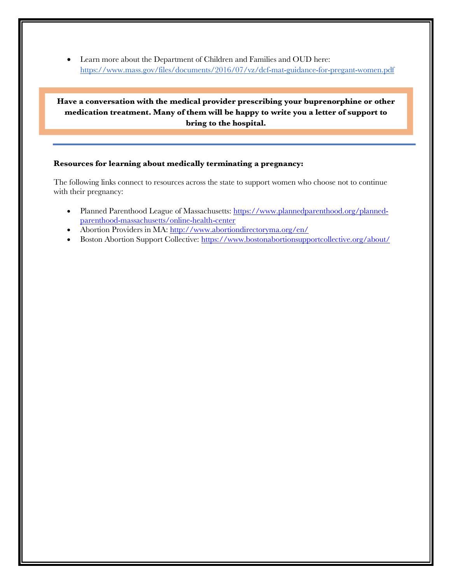• Learn more about the Department of Children and Families and OUD here: https://www.mass.gov/files/documents/2016/07/vz/dcf-mat-guidance-for-pregant-women.pdf

**Have a conversation with the medical provider prescribing your buprenorphine or other medication treatment. Many of them will be happy to write you a letter of support to bring to the hospital.**

#### **Resources for learning about medically terminating a pregnancy:**

The following links connect to resources across the state to support women who choose not to continue with their pregnancy:

- Planned Parenthood League of Massachusetts: https://www.plannedparenthood.org/plannedparenthood-massachusetts/online-health-center
- Abortion Providers in MA: http://www.abortiondirectoryma.org/en/
- Boston Abortion Support Collective: https://www.bostonabortionsupportcollective.org/about/